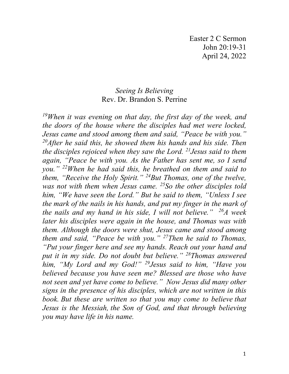## *Seeing Is Believing* Rev. Dr. Brandon S. Perrine

*19When it was evening on that day, the first day of the week, and the doors of the house where the disciples had met were locked, Jesus came and stood among them and said, "Peace be with you." 20After he said this, he showed them his hands and his side. Then the disciples rejoiced when they saw the Lord. 21Jesus said to them again, "Peace be with you. As the Father has sent me, so I send you." 22When he had said this, he breathed on them and said to them, "Receive the Holy Spirit." 24But Thomas, one of the twelve, was not with them when Jesus came. 25So the other disciples told him, "We have seen the Lord." But he said to them, "Unless I see the mark of the nails in his hands, and put my finger in the mark of the nails and my hand in his side, I will not believe." 26A week later his disciples were again in the house, and Thomas was with them. Although the doors were shut, Jesus came and stood among them and said, "Peace be with you." 27Then he said to Thomas, "Put your finger here and see my hands. Reach out your hand and put it in my side. Do not doubt but believe." 28Thomas answered him, "My Lord and my God!" 29Jesus said to him, "Have you believed because you have seen me? Blessed are those who have not seen and yet have come to believe." Now Jesus did many other signs in the presence of his disciples, which are not written in this book. But these are written so that you may come to believe that Jesus is the Messiah, the Son of God, and that through believing you may have life in his name.*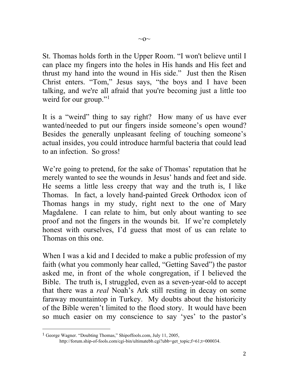St. Thomas holds forth in the Upper Room. "I won't believe until I can place my fingers into the holes in His hands and His feet and thrust my hand into the wound in His side." Just then the Risen Christ enters. "Tom," Jesus says, "the boys and I have been talking, and we're all afraid that you're becoming just a little too weird for our group."<sup>[1](#page-1-0)</sup>

It is a "weird" thing to say right? How many of us have ever wanted/needed to put our fingers inside someone's open wound? Besides the generally unpleasant feeling of touching someone's actual insides, you could introduce harmful bacteria that could lead to an infection. So gross!

We're going to pretend, for the sake of Thomas' reputation that he merely wanted to see the wounds in Jesus' hands and feet and side. He seems a little less creepy that way and the truth is, I like Thomas. In fact, a lovely hand-painted Greek Orthodox icon of Thomas hangs in my study, right next to the one of Mary Magdalene. I can relate to him, but only about wanting to see proof and not the fingers in the wounds bit. If we're completely honest with ourselves, I'd guess that most of us can relate to Thomas on this one.

When I was a kid and I decided to make a public profession of my faith (what you commonly hear called, "Getting Saved") the pastor asked me, in front of the whole congregation, if I believed the Bible. The truth is, I struggled, even as a seven-year-old to accept that there was a *real* Noah's Ark still resting in decay on some faraway mountaintop in Turkey. My doubts about the historicity of the Bible weren't limited to the flood story. It would have been so much easier on my conscience to say 'yes' to the pastor's

<span id="page-1-0"></span><sup>1</sup> George Wagner. "Doubting Thomas," Shipoffools.com, July 11, 2005, [http://forum.ship-of-fools.com/cgi-bin/ultimatebb.cgi?ubb=get\\_topic;f=61;t=000034.](http://forum.ship-of-fools.com/cgi-bin/ultimatebb.cgi?ubb=get_topic;f=61;t=000034)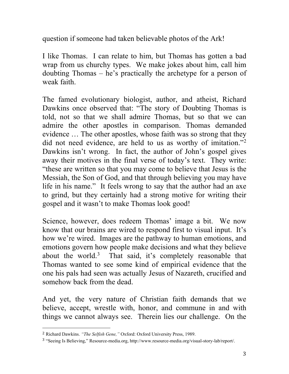question if someone had taken believable photos of the Ark!

I like Thomas. I can relate to him, but Thomas has gotten a bad wrap from us churchy types. We make jokes about him, call him doubting Thomas – he's practically the archetype for a person of weak faith.

The famed evolutionary biologist, author, and atheist, Richard Dawkins once observed that: "The story of Doubting Thomas is told, not so that we shall admire Thomas, but so that we can admire the other apostles in comparison. Thomas demanded evidence … The other apostles, whose faith was so strong that they did not need evidence, are held to us as worthy of imitation."<sup>[2](#page-2-0)</sup> Dawkins isn't wrong. In fact, the author of John's gospel gives away their motives in the final verse of today's text. They write: "these are written so that you may come to believe that Jesus is the Messiah, the Son of God, and that through believing you may have life in his name." It feels wrong to say that the author had an axe to grind, but they certainly had a strong motive for writing their gospel and it wasn't to make Thomas look good!

Science, however, does redeem Thomas' image a bit. We now know that our brains are wired to respond first to visual input. It's how we're wired. Images are the pathway to human emotions, and emotions govern how people make decisions and what they believe about the world.<sup>[3](#page-2-1)</sup> That said, it's completely reasonable that Thomas wanted to see some kind of empirical evidence that the one his pals had seen was actually Jesus of Nazareth, crucified and somehow back from the dead.

And yet, the very nature of Christian faith demands that we believe, accept, wrestle with, honor, and commune in and with things we cannot always see. Therein lies our challenge. On the

<span id="page-2-0"></span><sup>2</sup> [Richard Dawkins.](http://www.goodreads.com/author/show/1194.Richard_Dawkins) *"The Selfish Gene,"* Oxford: Oxford University Press, 1989.

<span id="page-2-1"></span><sup>3</sup> "Seeing Is Believing," Resource-media.org, [http://www.resource-media.org/visual-story-lab/report/.](http://www.resource-media.org/visual-story-lab/report/)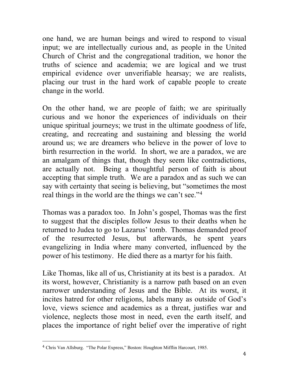one hand, we are human beings and wired to respond to visual input; we are intellectually curious and, as people in the United Church of Christ and the congregational tradition, we honor the truths of science and academia; we are logical and we trust empirical evidence over unverifiable hearsay; we are realists, placing our trust in the hard work of capable people to create change in the world.

On the other hand, we are people of faith; we are spiritually curious and we honor the experiences of individuals on their unique spiritual journeys; we trust in the ultimate goodness of life, creating, and recreating and sustaining and blessing the world around us; we are dreamers who believe in the power of love to birth resurrection in the world. In short, we are a paradox, we are an amalgam of things that, though they seem like contradictions, are actually not. Being a thoughtful person of faith is about accepting that simple truth. We are a paradox and as such we can say with certainty that seeing is believing, but "sometimes the most real things in the world are the things we can't see."<sup>[4](#page-3-0)</sup>

Thomas was a paradox too. In John's gospel, Thomas was the first to suggest that the disciples follow Jesus to their deaths when he returned to Judea to go to Lazarus' tomb. Thomas demanded proof of the resurrected Jesus, but afterwards, he spent years evangelizing in India where many converted, influenced by the power of his testimony. He died there as a martyr for his faith.

Like Thomas, like all of us, Christianity at its best is a paradox. At its worst, however, Christianity is a narrow path based on an even narrower understanding of Jesus and the Bible. At its worst, it incites hatred for other religions, labels many as outside of God's love, views science and academics as a threat, justifies war and violence, neglects those most in need, even the earth itself, and places the importance of right belief over the imperative of right

<span id="page-3-0"></span><sup>4</sup> Chris Van Allsburg. "The Polar Express," Boston: Houghton Mifflin Harcourt, 1985.